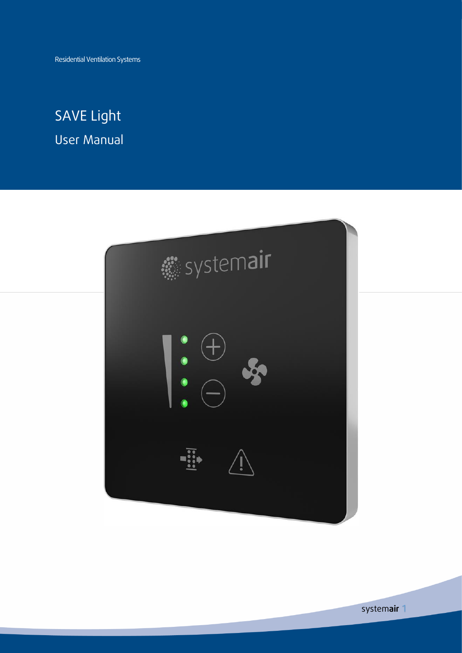Residential Ventilation Systems

# SAVE Light User Manual

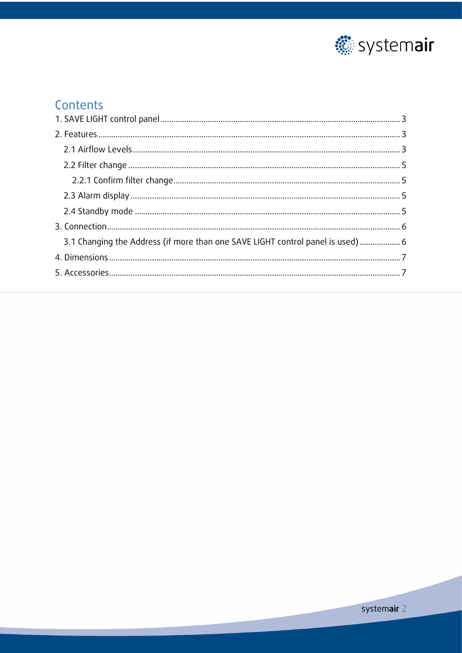

## Contents

| 3.1 Changing the Address (if more than one SAVE LIGHT control panel is used)  6 |  |
|---------------------------------------------------------------------------------|--|
|                                                                                 |  |
|                                                                                 |  |
|                                                                                 |  |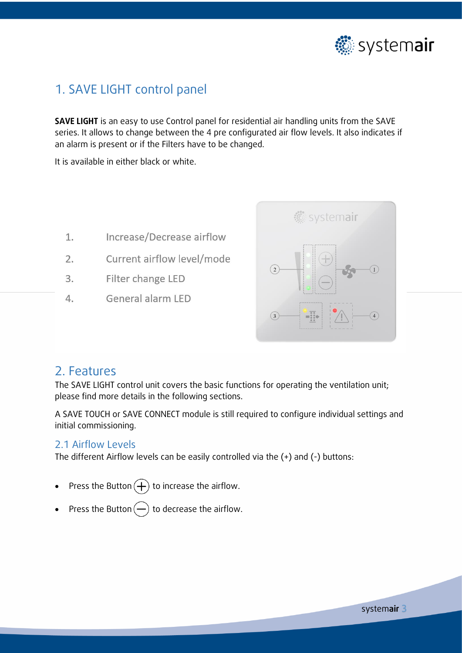

## <span id="page-2-0"></span>1. SAVE LIGHT control panel

**SAVE LIGHT** is an easy to use Control panel for residential air handling units from the SAVE series. It allows to change between the 4 pre configurated air flow levels. It also indicates if an alarm is present or if the Filters have to be changed.

It is available in either black or white.

- 1. Increase/Decrease airflow
- $2.$ Current airflow level/mode
- Filter change LED  $3.$
- General alarm LED  $4.$



### <span id="page-2-1"></span>2. Features

The SAVE LIGHT control unit covers the basic functions for operating the ventilation unit; please find more details in the following sections.

A SAVE TOUCH or SAVE CONNECT module is still required to configure individual settings and initial commissioning.

#### <span id="page-2-2"></span>2.1 Airflow Levels

The different Airflow levels can be easily controlled via the (+) and (-) buttons:

- Press the Button  $\left(\begin{matrix} + \end{matrix}\right)$  to increase the airflow.
- Press the Button  $\left(\text{-}\right)$  to decrease the airflow.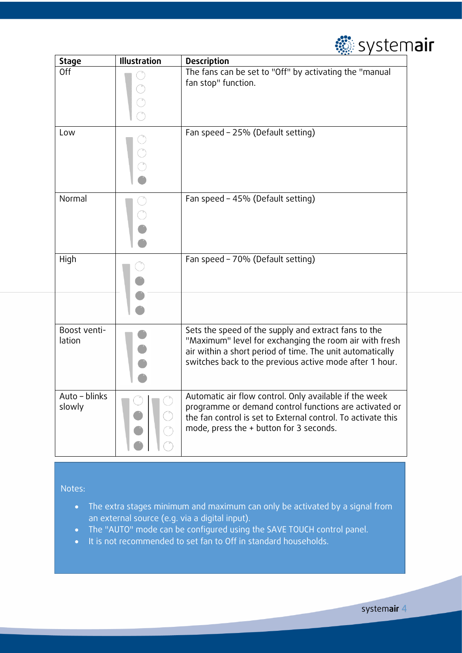

| <b>Stage</b>            | Illustration | <b>Description</b>                                                                                                                                                                                                                     |
|-------------------------|--------------|----------------------------------------------------------------------------------------------------------------------------------------------------------------------------------------------------------------------------------------|
| Off                     |              | The fans can be set to "Off" by activating the "manual<br>fan stop" function.                                                                                                                                                          |
| Low                     |              | Fan speed - 25% (Default setting)                                                                                                                                                                                                      |
| Normal                  |              | Fan speed - 45% (Default setting)                                                                                                                                                                                                      |
| High                    |              | Fan speed - 70% (Default setting)                                                                                                                                                                                                      |
| Boost venti-<br>lation  |              | Sets the speed of the supply and extract fans to the<br>"Maximum" level for exchanging the room air with fresh<br>air within a short period of time. The unit automatically<br>switches back to the previous active mode after 1 hour. |
| Auto - blinks<br>slowly |              | Automatic air flow control. Only available if the week<br>programme or demand control functions are activated or<br>the fan control is set to External control. To activate this<br>mode, press the + button for 3 seconds.            |

Notes:

- The extra stages minimum and maximum can only be activated by a signal from an external source (e.g. via a digital input).
- The "AUTO" mode can be configured using the SAVE TOUCH control panel.
- It is not recommended to set fan to Off in standard households.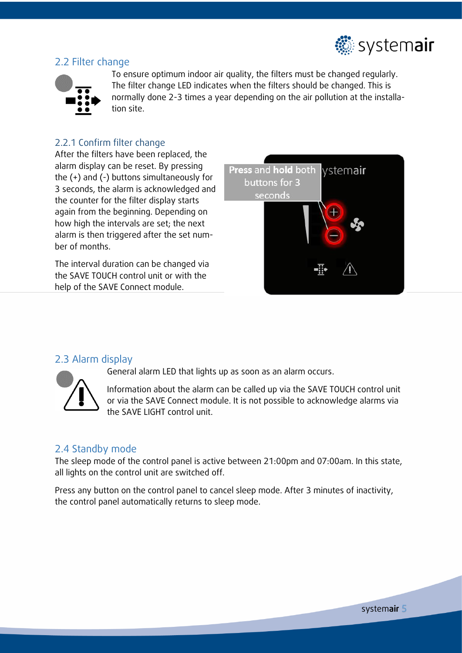

#### <span id="page-4-0"></span>2.2 Filter change



To ensure optimum indoor air quality, the filters must be changed regularly. The filter change LED indicates when the filters should be changed. This is normally done 2-3 times a year depending on the air pollution at the installation site.

#### <span id="page-4-1"></span>2.2.1 Confirm filter change

After the filters have been replaced, the alarm display can be reset. By pressing the (+) and (-) buttons simultaneously for 3 seconds, the alarm is acknowledged and the counter for the filter display starts again from the beginning. Depending on how high the intervals are set; the next alarm is then triggered after the set number of months.

The interval duration can be changed via the SAVE TOUCH control unit or with the help of the SAVE Connect module.



#### <span id="page-4-2"></span>2.3 Alarm display



General alarm LED that lights up as soon as an alarm occurs.

Information about the alarm can be called up via the SAVE TOUCH control unit or via the SAVE Connect module. It is not possible to acknowledge alarms via the SAVE LIGHT control unit.

#### <span id="page-4-3"></span>2.4 Standby mode

The sleep mode of the control panel is active between 21:00pm and 07:00am. In this state, all lights on the control unit are switched off.

Press any button on the control panel to cancel sleep mode. After 3 minutes of inactivity, the control panel automatically returns to sleep mode.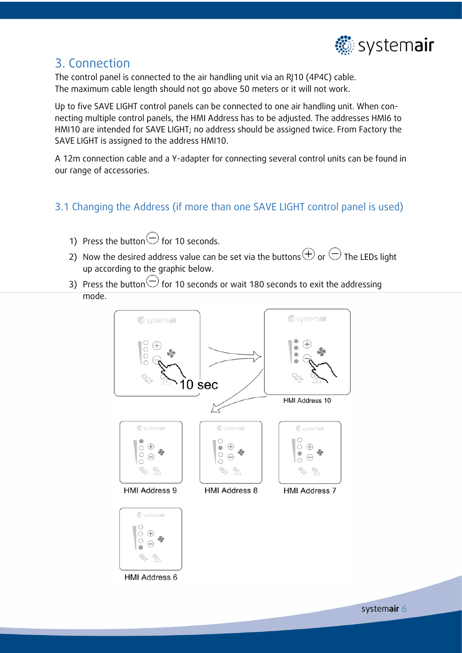

### <span id="page-5-0"></span>3. Connection

The control panel is connected to the air handling unit via an RJ10 (4P4C) cable. The maximum cable length should not go above 50 meters or it will not work.

Up to five SAVE LIGHT control panels can be connected to one air handling unit. When connecting multiple control panels, the HMI Address has to be adjusted. The addresses HMI6 to HMI10 are intended for SAVE LIGHT; no address should be assigned twice. From Factory the SAVE LIGHT is assigned to the address HMI10.

A 12m connection cable and a Y-adapter for connecting several control units can be found in our range of accessories.

### <span id="page-5-1"></span>3.1 Changing the Address (if more than one SAVE LIGHT control panel is used)

- 1) Press the button  $\ominus$  for 10 seconds.
- 2) Now the desired address value can be set via the buttons  $\oplus$  or  $\ominus$  The LEDs light up according to the graphic below.
- 3) Press the button  $\bigcirc$  for 10 seconds or wait 180 seconds to exit the addressing mode.